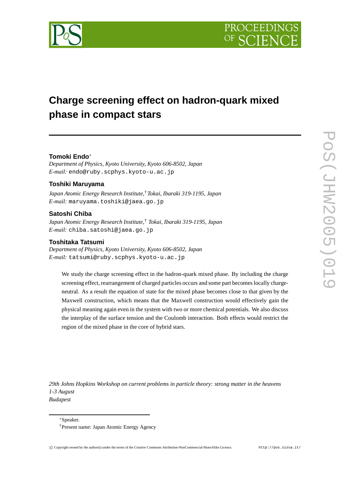

# **Charge screening effect on hadron-quark mixed phase in compact stars**

# **Tomoki Endo** ∗

*Department of Physics, Kyoto University, Kyoto 606-8502, Japan E-mail:* endo@ruby.scphys.kyoto-u.ac.jp

### **Toshiki Maruyama**

*Japan Atomic Energy Research Institute,* †*Tokai, Ibaraki 319-1195, Japan E-mail:* maruyama.toshiki@jaea.go.jp

# **Satoshi Chiba**

*Japan Atomic Energy Research Institute,* † *Tokai, Ibaraki 319-1195, Japan E-mail:* chiba.satoshi@jaea.go.jp

# **Toshitaka Tatsumi**

*Department of Physics, Kyoto University, Kyoto 606-8502, Japan E-mail:* tatsumi@ruby.scphys.kyoto-u.ac.jp

We study the charge screening effect in the hadron-quark mixed phase. By including the charge screening effect, rearrangement of charged particles occurs and some part becomes locally chargeneutral. As a result the equation of state for the mixed phase becomes close to that given by the Maxwell construction, which means that the Maxwell construction would effectively gain the physical meaning again even in the system with two or more chemical potentials. We also discuss the interplay of the surface tension and the Coulomb interaction. Both effects would restrict the region of the mixed phase in the core of hybrid stars.

*29th Johns Hopkins Workshop on current problems in particle theory: strong matter in the heavens 1-3 August Budapest*

<sup>∗</sup>Speaker.

<sup>†</sup> Present name: Japan Atomic Energy Agency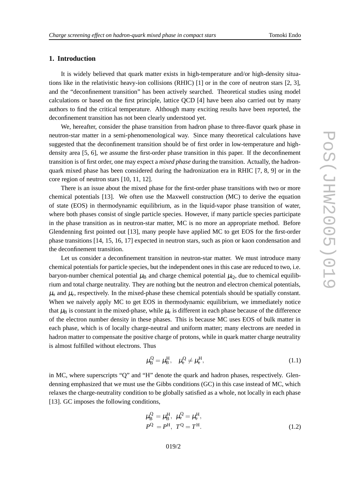# **1. Introduction**

It is widely believed that quark matter exists in high-temperature and/or high-density situations like in the relativistic heavy-ion collisions (RHIC) [1] or in the core of neutron stars [2, 3], and the "deconfinement transition" has been actively searched. Theoretical studies using model calculations or based on the first principle, lattice QCD [4 ] hav e been also carried out by man y authors to find the critical temperature. Althoug h man y exciting results hav e been reported, the deconfinement transition has not bee n clearl y understood yet.

We, hereafter , consider the phase transition from hadron phase to three-flavor quark phase in neutron-star matter in a semi-phenomenological way. Since many theoretical calculations have suggested that the deconfinement transition should be of first order in low-temperature and highdensity area [5 , 6], we assume the first-order phas e transition in this paper . If the deconfinement transition is of first order, one may expect a *mixed phase* during the transition. Actually, the hadronquark mixed phase has been considered during the hadronization era in RHIC [7, 8, 9] or in the cor e region of neutron stars [10 , 11 , 12].

There is an issue about the mixed phase for the first-order phase transitions with two or more chemical potentials [13]. We often use the Maxwell construction (MC) to derive the equation of state (EOS) in thermodynamic equilibrium, as in the liquid-vapo r phas e transition of water , where both phases consist of single particle species. However, if many particle species participate in the phase transition as in neutron-star matter , MC is no more an appropriate method . Before Glendennin g first pointed out [13], man y people hav e applied MC to get EOS for the first-order phase transitions [14, 15, 16, 17] expected in neutron stars, such as pion or kaon condensation and the deconfinement transition .

Let us consider a deconfinement transition in neutron-star matter. We must introduce many chemical potentials for particle species, but the independen t ones in this case are reduced to two, i.e. baryon-number chemical potential  $\mu_B$  and charge chemical potential  $\mu_Q$ , due to chemical equilibrium and total charge neutrality. They are nothing but the neutron and electron chemical potentials,  $\mu_n$  and  $\mu_e$ , respectively. In the mixed-phase these chemical potentials should be spatially constant. When we naively apply MC to get EOS in thermodynamic equilibrium, we immediately notice that  $\mu_B$  is constant in the mixed-phase, while  $\mu_e$  is different in each phase because of the difference of the electron numbe r density in thes e phases. This is because MC use s EOS of bul k matter in each phase, which is of locally charge-neutral and uniform matter; many electrons are needed in hadron matter to compensate the positive charge of protons, while in quark matter charge neutrality is almost fulfilled without electrons. Thus

$$
\mu_{\rm B}^{\rm Q} = \mu_{\rm B}^{\rm H}, \quad \mu_{\rm e}^{\rm Q} \neq \mu_{\rm e}^{\rm H},\tag{1.1}
$$

in MC, where superscripts "Q" and "H" denote the quark and hadron phases, respectively. Glendenning emphasized that we must use the Gibbs conditions (GC) in this case instead of MC, which relaxes the charge-neutrality condition to be globally satisfied as a whole, not locally in each phase [13]. GC imposes the following conditions,

$$
\mu_{\rm B}^{\rm Q} = \mu_{\rm B}^{\rm H}, \ \mu_{\rm e}^{\rm Q} = \mu_{\rm e}^{\rm H}, \nP^{\rm Q} = P^{\rm H}, \ T^{\rm Q} = T^{\rm H}.
$$
\n(1.2)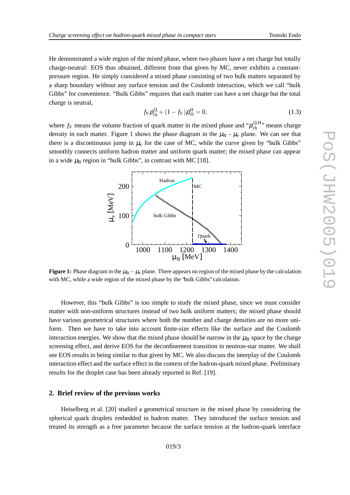He demonstrated a wide region of the mixed phase, where two phases have a net charge but totally charge-neutral: EOS thus obtained, different from that given by MC, never exhibits a constantpressure region. He simply considered a mixed phase consisting of two bulk matters separated by a sharp boundary without any surface tension and the Coulomb interaction, which we call "bulk Gibbs" for convenience. "Bulk Gibbs" requires that each matter can have a net charge but the total cha rge is neutral,

$$
f_V \rho_{ch}^Q + (1 - f_V) \rho_{ch}^H = 0,
$$
\n(1.3)

where  $f_V$  means the volume fraction of quark matter in the mixed phase and " $\rho_{ch}^{Q,H}$  $_{ch}^{Q,H}$ , means charge density in each matter. Figure 1 shows the phase diagram in the  $\mu_B$  -  $\mu_e$  plane. We can see that there is a discontinuous jump in  $\mu_e$  for the case of MC, while the curve given by "bulk Gibbs" smoothly connects unifor m hadron matter and uniform quar k matter; the mixed phas e can appear in a wide  $\mu_{\rm B}$  region in "bulk Gibbs", in contrast with MC [18].



**Figure 1:** Phase diagram in the  $\mu_{\rm B} - \mu_{\rm e}$  plane. There appears no region of the mixed phase by the calculation with MC, while a wide re gion of the mixed phase by the "bulk Gibbs" calculation.

However, this "bulk Gibbs" is too simple to study the mixed phase, since we must consider matter with non-uniform structures instea d of tw o bulk uniform matters ; the mixed phas e shoul d have various geometrical structures where both the number and charge densities are no more uniform. Then we have to take into account finite-size effects like the surface and the Coulomb interaction energies. We show that the mixed phase should be narrow in the  $\mu_B$  space by the charge screening effect, and derive EOS for the deconfinement transition in neutron-star matter. We shall see EOS results in being similar to that given by MC. We also discuss the interplay of the Coulomb interaction effect and the surface effect in the context of the hadron-quark mixed phase. Preliminary results for the droplet case has bee n alread y reported in Ref. [19].

#### **2. Brief r eview of the pr evious works**

Heiselberg et al. [20 ] studie d a geometrical structure in the mixed phase by considering the spherical quark droplets embedded in hadron matter. They introduced the surface tension and treated its strength as a free parameter because the surface tensio n at the hadron-quark inter face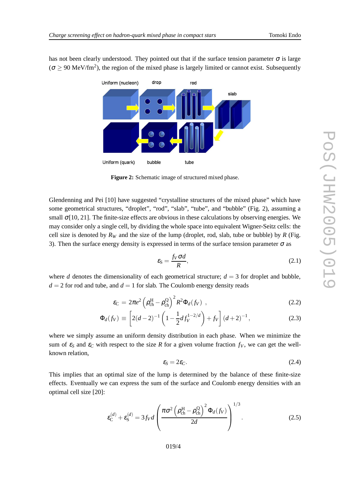has not been clearly understood. They pointed out that if the surface tension parameter  $\sigma$  is large  $\sigma \geq 90$  MeV/fm<sup>2</sup>), the region of the mixed phase is largely limited or cannot exist. Subsequently



**Figur e 2:** Schematic image of structured mixed phase.

Glendenning and Pei [10] have suggested "crystalline structures of the mixed phase" which have some geometrical structures, "droplet", "rod", "slab", "tube", and "bubble" (Fig. 2), assuming a small  $\sigma$ [10, 21]. The finite-size effects are obvious in these calculations by observing energies. We may consider only a single cell, by dividing the whole space into equivalent Wigner-Seitz cells: the cell size is denoted by  $R_W$  and the size of the lump (droplet, rod, slab, tube or bubble) by  $R$  (Fig. 3). Then the surface energy density is expressed in terms of the surface tension parameter  $\sigma$  as

$$
\varepsilon_{\rm S} = \frac{f_V \sigma d}{R},\tag{2.1}
$$

where  $d$  denotes the dimensionality of each geometrical structure;  $d = 3$  for droplet and bubble,  $d = 2$  for rod and tube, and  $d = 1$  for slab. The Coulomb energy density reads

$$
\varepsilon_{\rm C} = 2\pi e^2 \left( \rho_{\rm ch}^{\rm H} - \rho_{\rm ch}^{\rm Q} \right)^2 R^2 \Phi_d(f_V) \tag{2.2}
$$

$$
\Phi_d(f_V) \equiv \left[ 2(d-2)^{-1} \left( 1 - \frac{1}{2} df_V^{1-2/d} \right) + f_V \right] (d+2)^{-1}, \tag{2.3}
$$

where we simply assume an uniform density distribution in each phase. When we minimize the sum of  $\varepsilon_S$  and  $\varepsilon_C$  with respect to the size R for a given volume fraction  $f_V$ , we can get the wellknown relation,

$$
\varepsilon_{\rm S} = 2\varepsilon_{\rm C}.\tag{2.4}
$$

This implies that an optimal size of the lump is determined by the balance of these finite-size effects. Eventuall y we can express the sum of the surface and Coulomb ene rgy densities with an optimal cell size [20]:

$$
\varepsilon_{\text{C}}^{(d)} + \varepsilon_{\text{S}}^{(d)} = 3f_V d \left( \frac{\pi \sigma^2 \left( \rho_{\text{ch}}^{\text{H}} - \rho_{\text{ch}}^{\text{Q}} \right)^2 \Phi_d(f_V)}{2d} \right)^{1/3}.
$$
 (2.5)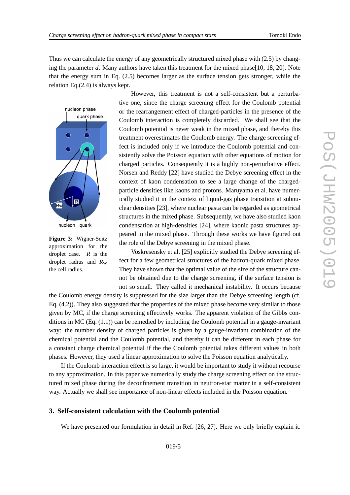Thus we can calculate the energy of any geometrically structured mixed phase with (2.5) by changing the parameter d. Many authors have taken this treatment for the mixed phase[10, 18, 20]. Note tha t the ene rgy sum in Eq. (2.5) becomes large r as the surface tension gets stronger , while the relation Eq.(2.4) is al ways kept.



**Figur e 3:** Wigner-Seitz approximation for the droplet case. *R* is the droplet radiu s and *R* W the cell radius.

However, this treatment is not a self-consistent but a perturbative one, since the charge screening effect for the Coulomb potential or the rearrangement effect of charged-particles in the presence of the Coulomb interactio n is completely discarded . We shall see that the Coulomb potential is ne ver weak in the mixed phase, and thereby this treatment o verestimates the Coulomb ene rgy . The charge screening effect is included only if we introduce the Coulomb potential and consistently solve the Poisson equation with other equations of motion for charged particles. Consequently it is a highly non-perturbati v e effect. Norsen and Reddy [22 ] hav e studie d the Debye screening effec t in the context of kaon condensation to see a large change of the chargedparticle densities like kaons and protons. Maruyama et al. have numerically studied it in the context of liquid-gas phase transition at subnuclear densities [23], where nuclear pasta can be regarded as geometrical structures in the mixed phase. Subsequently , we hav e also studied kao n condensation at high-densities [24], where kaonic pasta structures appeared in the mixed phase. Through these works we have figured out the role of the Debye screening in the mixed phase.

Voskresensky et al. [25] explicitly studied the Debye screening effect for a few geometrical structures of the hadron-quark mixed phase. The y hav e shown that the optimal value of the size of the structure cannot be obtained due to the charge screening, if the surface tension is not so small. The y calle d it mechanical instability . It occurs because

the Coulomb energy density is suppressed for the size larger than the Debye screening length (cf. Eq. (4.2)). They also suggested that the properties of the mixed phase become very similar to those given by MC, if the charge screening effectively works. The apparent violation of the Gibbs conditions in MC (Eq.  $(1.1)$ ) can be remedied by including the Coulomb potential in a gauge-invariant way: the number density of charged particles is given by a gauge-invariant combination of the chemical potential and the Coulomb potential, and thereby it can be different in eac h phase for a constant charge chemical potential if the the Coulomb potential takes different values in both phases. However, they used a linear approximation to solve the Poisson equation analytically.

If the Coulomb interaction effect is so large, it would be important to study it without recourse to any approximation. In this paper we numerically study the charge screening effect on the structured mixed phase during the deconfinement transition in neutron-star matter in a self-consistent way. Actually we shall see importance of non-linear effects included in the Poisson equation.

#### **3. Self-consistent calculation with the Coulomb potential**

We have presented our formulation in detail in Ref. [26, 27]. Here we only briefly explain it.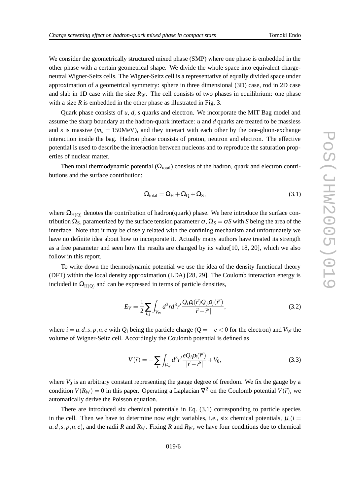We consider the geometrically structured mixed phase (SMP) where one phase is embedded in the other phase with a certain geometrical shape. We divide the whole space into equivalent chargeneutral Wigner-Seitz cells. The Wigner-Seitz cell is a representative of equally divided space under approximation of a geometrical symmetry : sphere in three dimensional (3D) case, rod in 2D case and slab in 1D case with the size  $R_W$ . The cell consists of two phases in equilibrium: one phase with a size  $R$  is embedded in the other phase as illustrated in Fig. 3.

Quark phase consists of *u*, *d*, *s* quarks and electron. We incorporate the MIT Bag model and assume the sharp boundary at the hadron-quark interface: *u* and *d* quarks are treated to be massless and *s* is massive  $(m_s = 150 \text{MeV})$ , and they interact with each other by the one-gluon-exchange interaction inside the bag. Hadron phase consists of proton, neutron and electron. The effective potential is use d to describe the interaction between nucleons and to reproduce the saturation prop erties of nuclear matter.

Then total thermodynamic potential  $(\Omega_{total})$  consists of the hadron, quark and electron contributions and the surface contribution:

$$
\Omega_{\text{total}} = \Omega_{\text{H}} + \Omega_{\text{Q}} + \Omega_{\text{S}},\tag{3.1}
$$

where  $\Omega_{H(Q)}$  denotes the contribution of hadron(quark) phase. We here introduce the surface contribution  $\Omega_s$ , parametrized by the surface tension parameter  $\sigma$ ,  $\Omega_s = \sigma S$  with *S* being the area of the interface . Note that it may be closely relate d with the confinin g mechanism and unfortunately we have no definite idea about how to incorporate it. Actually many authors have treated its strength as a free parameter and see n ho w the results are changed by its value[10 , 18 , 20], which we also follow in this report.

To write down the thermodynamic potential we use the idea of the density functional theor y (DFT) within the local density approximation (LDA) [28, 29]. The Coulomb interaction energy is included in  $\Omega_{H(Q)}$  and can be expressed in terms of particle densities,

$$
E_V = \frac{1}{2} \sum_{i,j} \int_{V_W} d^3r d^3r' \frac{Q_i \rho_i(\vec{r}) Q_j \rho_j(\vec{r}')}{|\vec{r} - \vec{r}'|},\tag{3.2}
$$

where  $i = u, d, s, p, n, e$  with  $Q_i$  being the particle charge ( $Q = -e < 0$  for the electron) and  $V_W$  the v olume of Wigner-Seitz cell. Accordingly the Coulomb potential is defined as

$$
V(\vec{r}) = -\sum_{i} \int_{V_{\rm W}} d^3 r' \frac{e Q_i \rho_i(\vec{r}')}{|\vec{r} - \vec{r}'|} + V_0,\tag{3.3}
$$

where  $V_0$  is an arbitrary constant representing the gauge degree of freedom. We fix the gauge by a condition  $V(R_W) = 0$  in this paper. Operating a Laplacian  $\nabla^2$  on the Coulomb potential  $V(\vec{r})$ , we automatically derive the Poisson equation.

There are introduced six chemical potentials in Eq. (3.1) corresponding to particle species in the cell. Then we have to determine now eight variables, i.e., six chemical potentials,  $\mu_i(i =$  $u, d, s, p, n, e$ , and the radii *R* and  $R_W$ . Fixing *R* and  $R_W$ , we have four conditions due to chemical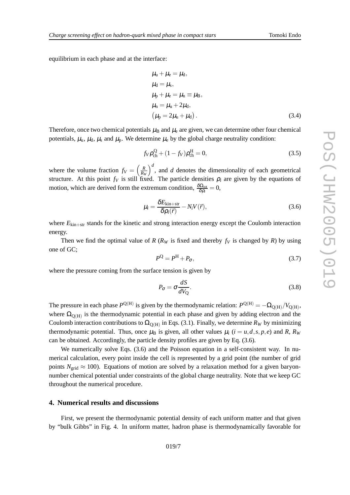equilibrium in each phas e and at the inter face:

$$
\mu_{u} + \mu_{e} = \mu_{d},
$$
\n
$$
\mu_{d} = \mu_{s},
$$
\n
$$
\mu_{p} + \mu_{e} = \mu_{n} \equiv \mu_{B},
$$
\n
$$
\mu_{n} = \mu_{u} + 2\mu_{d},
$$
\n
$$
(\mu_{p} = 2\mu_{u} + \mu_{d}).
$$
\n(3.4)

Therefore, once two chemical potentials  $\mu_B$  and  $\mu_e$  are given, we can determine other four chemical potentials,  $\mu_{u}$ ,  $\mu_{d}$ ,  $\mu_{s}$  and  $\mu_{p}$ . We determine  $\mu_{e}$  by the global charge neutrality condition:

$$
f_V \rho_{ch}^Q + (1 - f_V) \rho_{ch}^H = 0,
$$
\n(3.5)

where the volume fraction  $f_V = \left(\frac{R}{R_W}\right)^d$ , and *d* denotes the dimensionality of each geometrical structure. At this point  $f_V$  is still fixed. The particle densities  $\rho_i$  are given by the equations of motion, which are derived form the extremum condition,  $\frac{\delta\Omega_{\text{tot}}}{\delta\Omega_{\text{tot}}}$  $\frac{\delta \Omega_{\rm tot}}{\delta \rho_i}=0,$ 

$$
\mu_i = \frac{\delta E_{\text{kin+str}}}{\delta \rho_i(\vec{r})} - N_i V(\vec{r}),
$$
\n(3.6)

where  $E_{\text{kin+str}}$  stands for the kinetic and strong interaction energy except the Coulomb interaction energy.

Then we find the optimal value of  $R$  ( $R_W$  is fixed and thereby  $f_V$  is changed by  $R$ ) by using one of GC;

$$
P^{\mathcal{Q}} = P^{\mathcal{H}} + P_{\sigma},\tag{3.7}
$$

where the pressure coming from the surface tension is given by

$$
P_{\sigma} = \sigma \frac{dS}{dV_{Q}}.\tag{3.8}
$$

The pressure in each phase  $P^{\text{Q(H)}}$  is given by the thermodynamic relation:  $P^{\text{Q(H)}} = -\Omega_{\text{Q(H)}} / V_{\text{Q(H)}}$ , where  $\Omega_{Q(H)}$  is the thermodynamic potential in each phase and given by adding electron and the Coulomb interaction contributions to  $\Omega_{Q(H)}$  in Eqs. (3.1). Finally, we determine  $R_W$  by minimizing thermodynamic potential. Thus, once  $\mu_B$  is given, all other values  $\mu_i$  ( $i = u, d, s, p, e$ ) and R,  $R_W$ can be obtained. Accordingly, the particle density profiles are given by Eq. (3.6).

We numerically solve Eqs. (3.6) and the Poisson equation in a self-consistent way. In numerical calculation, every point inside the cell is represented by a grid point (the number of grid points  $N_{\text{grid}} \approx 100$ ). Equations of motion are solved by a relaxation method for a given baryonnumber chemical potential under constraints of the global charge neutrality. Note that we keep GC throughout the numerical procedure .

#### **4. Numerical results and discussions**

First, we present the thermodynamic potential density of each uniform matter and that given by "bul k Gibbs " in Fig. 4. In uniform matter , hadron phas e is thermodynamically fav orable for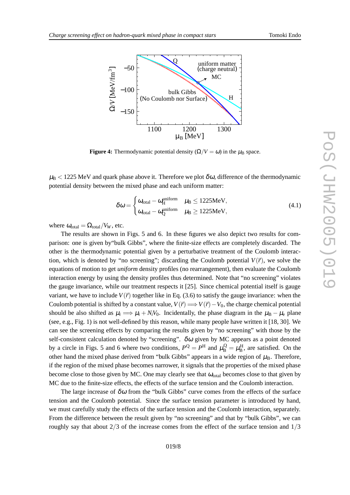

**Figure 4:** Thermodynamic potential density  $(\Omega/V = \omega)$  in the  $\mu_B$  space.

 $\mu_{\rm B}$  < 1225 MeV and quark phase above it. Therefore we plot  $\delta\omega$ , difference of the thermodynamic potential density between the mixed phase and each uniform matter :

$$
\delta \omega = \begin{cases} \omega_{\text{total}} - \omega_{\text{H}}^{\text{uniform}} & \mu_{\text{B}} \leq 1225 \text{MeV}, \\ \omega_{\text{total}} - \omega_{\text{Q}}^{\text{uniform}} & \mu_{\text{B}} \geq 1225 \text{MeV}, \end{cases}
$$
(4.1)

where  $\omega_{\text{total}} = \Omega_{\text{total}} / V_W$ , etc.

The results are shown in Figs. 5 and 6. In these figures we also depict two results for comparison: one is given by"bulk Gibbs", where the finite-size effects are completely discarded. The other is the thermodynamic potential given by a perturbative treatment of the Coulomb interaction, which is denoted by "no screening"; discarding the Coulomb potential  $V(\vec{r})$ , we solve the equations of motion to get *uniform* density profiles (no rearrangement), then evaluate the Coulomb interactio n energy by using the densit y profiles thus determined. Note that "no screening" violates the gaug e invariance, while our treatment respects it [25]. Since chemical potential itself is gauge variant, we have to include  $V(\vec{r})$  together like in Eq. (3.6) to satisfy the gauge invariance: when the Coulomb potential is shifted by a constant value,  $V(\vec{r}) \Longrightarrow V(\vec{r}) - V_0$ , the charge chemical potential should be also shifted as  $\mu_i \implies \mu_i + N_i V_0$ . Incidentally, the phase diagram in the  $\mu_B - \mu_e$  plane (see , e.g., Fig. 1) is not well-defined by this reason, while man y people hav e writte n it [18 , 30]. We can see the screening effects by comparing the results gi ven by "no screening" with those by the self-consistent calculation denoted by "screening".  $\delta\omega$  given by MC appears as a point denoted by a circle in Figs. 5 and 6 where two conditions,  $P^{\text{Q}} = P^{\text{H}}$  and  $\mu_{\text{B}}^{\text{Q}} = \mu_{\text{B}}^{\text{H}}$ , are satisfied. On the other hand the mixed phase derived from "bulk Gibbs" appears in a wide region of  $\mu_B$ . Therefore, if the regio n of the mixed phase become s narrower , it signals that the properties of the mixed phas e become close to those given by MC. One may clearly see that  $\omega_{total}$  becomes close to that given by MC due to the finite-size effects, the effects of the sur face tensio n and the Coulomb interaction .

The large increase of  $\delta\omega$  from the "bulk Gibbs" curve comes from the effects of the surface tension and the Coulomb potential. Since the surface tension parameter is introduced by hand, we must carefully study the effect s of the surface tension and the Coulomb interaction, separately . From the difference between the result given by "no screening" and that by "bulk Gibbs", we can roughly say that about  $2/3$  of the increase comes from the effect of the surface tension and  $1/3$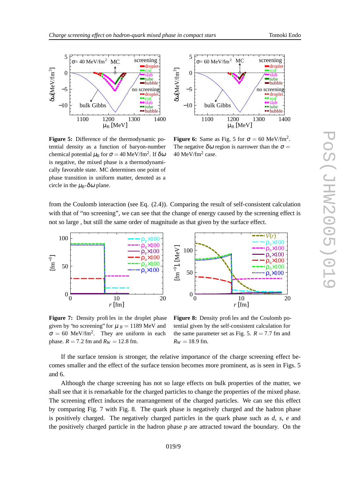

**Figur e 5:** Difference of the thermodynamic potential density as a function of baryon-number chemical potential  $\mu_{\rm B}$  for  $\sigma = 40$  MeV/fm<sup>2</sup>. If  $\delta \omega$ is negati ve, the mixed phase is a thermodynamically favorable state. MC determines one point of phase transition in uniform matter , denoted as a circle in the  $\mu_B$ - $\delta \omega$  plane.



**Figure 6:** Same as Fig. 5 for  $\sigma = 60 \text{ MeV}/\text{fm}^2$ . The negative  $\delta \omega$  region is narrower than the  $\sigma =$  $40 \text{ MeV/fm}^2$  case.

from the Coulomb interaction (see Eq. (2.4)). Comparing the result of self-consistent calculatio n with that of "no screening", we can see that the change of energy caused by the screening effect is not so large, but still the same order of magnitude as that given by the surface effect.



**Figur e 7:** Density profiles in the droplet phase given by 'no screening' for  $\mu$   $_B = 1189$  MeV and  $\sigma = 60$  MeV/fm<sup>2</sup>. They are uniform in each phase.  $R = 7.2$  fm and  $R_W = 12.8$  fm.

**Figur e 8:** Density profiles and the Coulomb potential given by the self-consistent calculation for the same parameter set as Fig. 5.  $R = 7.7$  fm and  $R_W = 18.9$  fm.

p ×100

 $\times$ 100

If the surface tension is stronger, the relative importance of the charge screening effect becomes smaller and the effect of the surface tension becomes more prominent, as is seen in Figs. 5 and 6.

Although the charge screening has not so large effects on bulk properties of the matter, we shall see that it is remarkable for the charged particles to change the properties of the mixed phase. The screening effect induces the rearrangement of the char ged particles. We can see this effect by comparing Fig. 7 with Fig. 8. The quark phase is negatively charged and the hadron phase is positi vely char ged. The negatively char ged particles in the quar k phase such as *d* , *s* , *e* and the positively charged particle in the hadron phase  $p$  are attracted toward the boundary. On the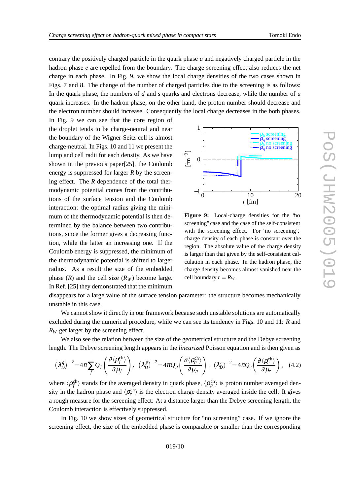contrary the positively charged particle in the quark phase u and negatively charged particle in the hadron phase *e* are repelled from the boundary. The charge screening effect also reduces the net cha rge in each phase. In Fig. 9, we show the loca l cha rge densities of the tw o case s shown in Figs. 7 and 8. The change of the number of charged particles due to the screening is as follows: In the quark phase, the numbers of d and s quarks and electrons decrease, while the number of u quark increases . In the hadron phase , on the other hand, the proton number shoul d decrease and the electron numbe r should increase. Consequently the loca l cha rge decreases in the both phases.

In Fig. 9 we can see that the core regio n of the drople t tend s to be char ge-neutral and near the boundary of the Wigner-Seitz cell is almost cha rge-neutral. In Figs. 10 and 11 we present the lump and cell radii for each density . As we hav e shown in the previous paper[25], the Coulomb energy is suppressed for larger R by the screening effect. The *R* dependence of the total thermodynamic potential comes from the contributions of the surface tension and the Coulomb interaction: the optimal radiu s giving the minimum of the thermodynamic potential is then determined by the balance between two contributions, since the former gives a decreasing function, while the latter an increasing one. If the Coulomb energy is suppressed , the minimum of the thermodynamic potential is shifte d to lar ger radius. As a result the size of the embedded phase  $(R)$  and the cell size  $(R_W)$  become large. In Ref. [25 ] the y demonstrate d that the minimum



**Figur e 9:** Local-charge densities for the "no screening" case and the case of the self-consistent with the screening effect. For "no screening", charge density of each phase is constant over the region. The absolute value of the charge density is larger than that gi ven by the self-consistent calculation in each phase. In the hadron phase, the charge density becomes almost vanished near the cell boundary  $r = R_W$ .

disappears for a large value of the surface tension parameter: the structure becomes mechanically unstable in this case.

We cannot show it directly in our framework because such unstable solutions are automatically excluded during the numerical procedure, while we can see its tendency in Figs. 10 and 11: R and *R <sup>W</sup>* get lar ger by the screening effect.

We also see the relation between the size of the geometrical structure and the Debye screening length. The Debye screening length appears in the *linearized* Poisson equation and is then given as

$$
\left(\lambda_D^q\right)^{-2} = 4\pi \sum_f Q_f \left(\frac{\partial \langle \rho_f^{\text{ch}} \rangle}{\partial \mu_f}\right), \quad \left(\lambda_D^p\right)^{-2} = 4\pi Q_p \left(\frac{\partial \langle \rho_p^{\text{ch}} \rangle}{\partial \mu_p}\right), \quad \left(\lambda_D^e\right)^{-2} = 4\pi Q_e \left(\frac{\partial \langle \rho_e^{\text{ch}} \rangle}{\partial \mu_e}\right), \quad (4.2)
$$

where  $\langle \rho_f^{ch} \rangle$  stands for the averaged density in quark phase,  $\langle \rho_p^{ch} \rangle$  is proton number averaged density in the hadron phase and  $\langle \rho_e^{ch} \rangle$  is the electron charge density averaged inside the cell. It gives a rough measur e for the screening effect: At a distance lar ger than the Debye screening length, the Coulomb interaction is effecti vely suppressed.

In Fig. 10 we show sizes of geometrical structure for "no screening" case . If we ignor e the screening effect, the size of the embedded phase is comparable or smaller than the corresponding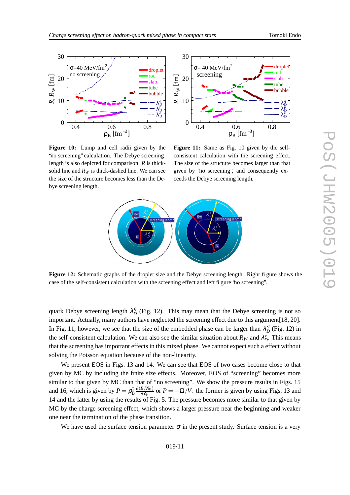



**Figure 10:** Lump and cell radii given by the 'no screening" calculation. The Debye screening length is also depicted for comparison. *R* is thicksolid line and  $R_W$  is thick-dashed line. We can see the size of the structur e becomes less than the Debye screening length.

**Figure 11:** Same as Fig. 10 given by the selfconsistent calculation with the screening effect. The size of the structur e become s lar ger than that gi ven by "no screening", and consequently exceeds the Debye screening length.



**Figure 12:** Schematic graphs of the droplet size and the Debye screening length. Right figure shows the case of the self-consistent calculatio n with the screening effect and left figure "no screening".

quark Debye screening length  $\lambda_D^q$  (Fig. 12). This may mean that the Debye screening is not so important. Actually, many authors have neglected the screening effect due to this argument[18, 20]. In Fig. 11, however, we see that the size of the embedded phase can be larger than  $\lambda_D^q$  (Fig. 12) in the self-consistent calculation. We can also see the similar situation about  $R_W$  and  $\lambda_D^e$ . This means that the screening has important effects in this mixed phase. We cannot expect such a effect without solving the Poisson equation because of the non-linearity .

We present EOS in Figs. 13 and 14. We can see that EOS of two cases become close to that gi ven by MC by including the finite size effects. Moreo ver , EOS of "screening" become s more similar to that given by MC than that of "no screening". We show the pressure results in Figs. 15 and 16, which is given by  $P = \rho_B^2 \frac{\partial (E/N_B)}{\partial \rho_B}$  or  $P = -\Omega/V$ : the former is given by using Figs. 13 and 14 and the latter by using the results of Fig. 5. The pressure becomes more similar to that given by MC by the charge screening effect, which shows a larger pressure near the beginning and weaker one nea r the termination of the phase transition .

We have used the surface tension parameter  $\sigma$  in the present study. Surface tension is a very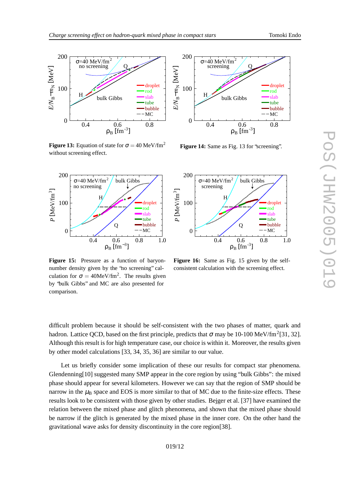



**Figure 13:** Equation of state for  $\sigma = 40 \text{ MeV}/\text{fm}^2$ without screening effect.



**Figur e 15:** Pressure as a function of baryonnumber density given by the "no screening" calculation for  $\sigma = 40$ MeV/fm<sup>2</sup>. The results given by "bulk Gibbs" and MC are also presented for comparison.



**Figur e 14:** Same as Fig. 13 for "screening".



**Figure 16:** Same as Fig. 15 given by the selfconsistent calculation with the screening effect.

difficult problem because it should be self-consistent with the two phases of matter, quark and hadron. Lattice QCD, based on the first principle, predicts that  $\sigma$  may be 10-100 MeV/fm<sup>2</sup>[31, 32]. Although this result is for high temperature case, our choice is within it. Moreover, the results given by othe r model calculation s [33 , 34 , 35 , 36 ] are similar to our value.

Let us briefly consider some implication of thes e our results for compact star phenomena. Glendenning[10] suggested many SMP appear in the core region by using "bulk Gibbs": the mixed phase should appear for several kilometers. However we can say that the region of SMP should be narrow in the  $\mu_B$  space and EOS is more similar to that of MC due to the finite-size effects. These results look to be consistent with those given by other studies. Bejger et al. [37] have examined the relation betwee n the mixed phase and glitch phenomena, and shown that the mixed phase shoul d be narrow if the glitch is generated by the mixed phase in the inner core. On the other hand the gravitational w av e ask s for density discontinuity in the core region[38].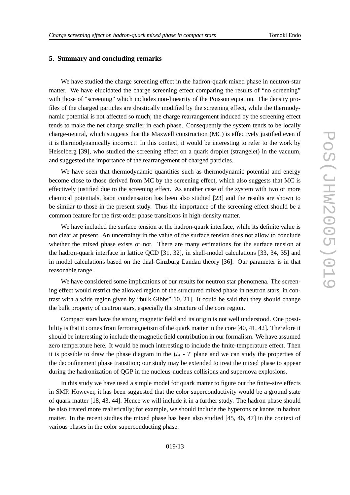#### **5. Summary and concluding remarks**

We have studied the charge screening effect in the hadron-quark mixed phase in neutron-star matter. We have elucidated the charge screening effect comparing the results of "no screening" with those of "screening" which includes non-linearity of the Poisson equation. The density profiles of the charged particles are drastically modified by the screening effect, while the thermodynamic potential is not affected so much; the charge rearrangement induced by the screening effect tends to make the net charge smaller in each phase. Consequently the system tends to be locally charge-neutral, which suggests that the Maxwell construction (MC) is effectively justified even if it is thermodynamically incorrect. In this context, it would be interesting to refer to the work by Heiselberg [39], who studied the screening effect on a quark droplet (strangelet) in the vacuum, and suggeste d the importance of the rearrangement of char ged particles.

We have seen that thermodynamic quantities such as thermodynamic potential and energy become close to those derived from MC by the screening effect, which also suggests tha t MC is effectively justified due to the screening effect. As another case of the system with two or more chemical potentials, kaon condensation has been also studied [23 ] and the result s are shown to be similar to those in the present study. Thus the importance of the screening effect should be a common feature for the first-order phase transitions in high-density matter .

We have included the surface tension at the hadron-quark interface, while its definite value is not clear at present. An uncertainty in the value of the surface tension does not allo w to conclude whether the mixed phase exists or not. There are many estimations for the surface tension at the hadron-quark interface in lattice QCD [31 , 32], in shell-model calculation s [33 , 34 , 35 ] and in model calculations based on the dual-Ginzburg Landau theory [36]. Our parameter is in that reasonable range .

We have considered some implications of our results for neutron star phenomena. The screening effect would restrict the allowed regio n of the structured mixed phase in neutron stars, in contrast with a wide region given by "bulk Gibbs"[10, 21]. It could be said that they should change the bul k property of neutron stars, especially the structure of the core region .

Compact stars have the strong magnetic field and its origin is not well understood. One possibility is that it comes from ferromagnetism of the quark matter in the core [40, 41, 42]. Therefore it should be interestin g to include the magnetic field contribution in our formalism. We hav e assumed zero temperature here. It would be much interesting to include the finite-temperature effect . Then it is possible to draw the phase diagram in the  $\mu_B$  - T plane and we can study the properties of the deconfinement phase transition ; our study may be extended to treat the mixed phase to appear during the hadronization of QGP in the nucleus-nucleus collisions and supernova explosions.

In this study we have used a simple model for quark matter to figure out the finite-size effects in SMP. However, it has been suggested that the color superconductivity would be a ground state of quark matter [18, 43, 44]. Hence we will include it in a further study. The hadron phase should be also treated more realistically; for example, we should include the hyperons or kaons in hadron matter. In the recent studies the mixed phase has been also studied [45, 46, 47] in the context of various phase s in the color superconductin g phase.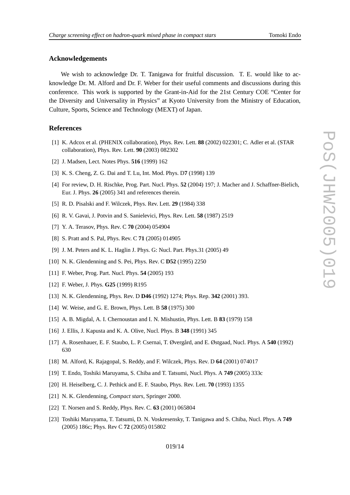# **Acknowledgements**

We wish to acknowledge Dr. T. Tanigawa for fruitful discussion. T. E. would like to acknowledge Dr. M. Alford and Dr. F. Weber for their useful comments and discussions during this conference. This work is supported by the Grant-in-Aid for the 21st Century COE "Center for the Diversity and Universality in Physics" at Kyoto University from the Ministry of Education, Culture, Sports, Scienc e and Technology (MEXT ) of Japan .

#### **Refer ences**

- [1] K. Adcox et al. (PHENIX collaboration), Phys. Re v . Lett. **88** (2002) 022301; C. Adler et al. (STAR collaboration), Phys. Re v . Lett. **90** (2003) 082302
- [2] J. Madsen, Lect. Notes Phys. **516** (1999) 162
- [3] K. S. Cheng, Z. G. Dai and T . Lu, Int. Mod. Phys. D **7** (1998) 139
- [4] For review, D. H. Rischke, Prog. Part. Nucl. Phys. **52** (2004) 197; J. Macher and J. Schaffner-Bielich, Eur . J. Phys. **26** (2005) 341 and references therein .
- [5] R. D. Pisalski and F. Wilczek, Phys. Re v . Lett. **29** (1984 ) 338
- [6] R. V. Gavai, J. Potvin and S. Sanielevici, Phys. Re v . Lett. **58** (1987) 2519
- [7] Y. A. Teraso v , Phys. Re v . C **70** (2004) 054904
- [8] S. Pratt and S. Pal, Phys. Re v . C **71** (2005) 014905
- [9] J. M. Peters and K. L. Haglin J. Phys. G: Nucl. Part. Phys.3 1 (2005) 49
- [10] N. K. Glendenning and S. Pei, Phys. Rev. C **D52** (1995) 2250
- [11] F. Weber , Prog. Part. Nucl. Phys. **54** (2005 ) 193
- [12] F. Weber , J. Phys. **G25** (1999) R195
- [13] N. K. Glendenning, Phys. Re v . D **D46** (1992) 1274 ; Phys. Rep. **342** (2001) 393.
- [14] W. Weise, and G. E. Brown, Phys. Lett. B **58** (1975) 300
- [15] A. B. Migdal, A. I. Chernoustan and I. N. Mishustin, Phys. Lett. B **83** (1979 ) 158
- [16] J. Ellis, J. Kapusta and K. A. Oli ve, Nucl. Phys. B **348** (1991) 345
- [17] A. Rosenhauer, E. F. Staubo , L. P. Csernai, T . Øver gård, and E. Østgaad, Nucl. Phys. A **540** (1992) 630
- [18] M. Alford, K. Rajagopal, S. Reddy, and F. Wilczek, Phys. Rev. D 64 (2001) 074017
- [19] T . Endo , Toshiki Maruyama, S. Chiba and T . Tatsumi, Nucl. Phys. A **749** (2005) 333 c
- [20] H. Heiselberg, C. J. Pethick and E. F. Staubo , Phys. Re v . Lett. **70** (1993) 1355
- [21] N. K. Glendenning, *Compact stars* , Springer 2000.
- [22] T . Norsen and S. Reddy , Phys. Re v . C. **63** (2001) 065804
- [23] Toshiki Maruyama, T . Tatsumi, D. N. Voskresensk y , T . Tanigaw a and S. Chiba, Nucl. Phys. A **749** (2005) 186c ; Phys. Re v C **72** (2005) 015802